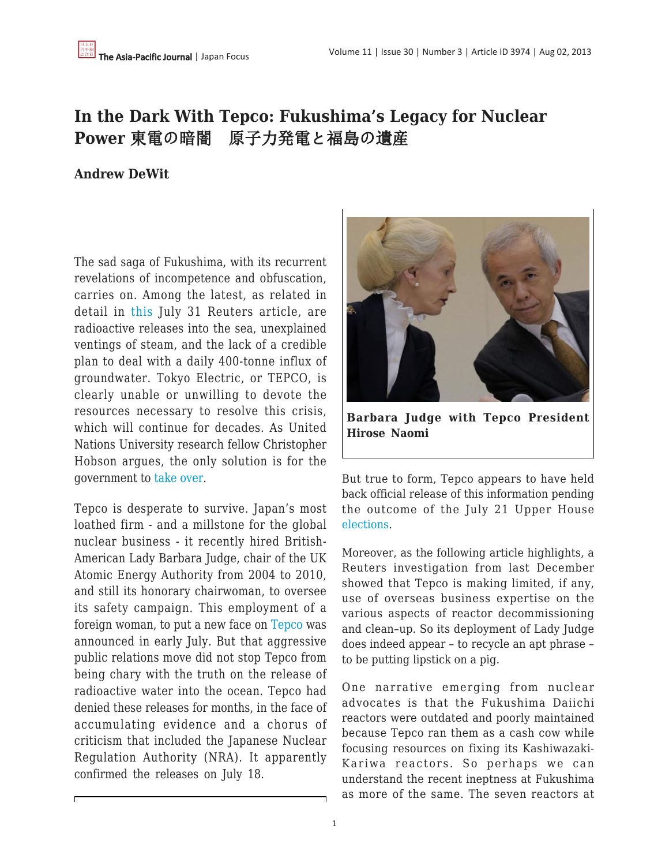# **In the Dark With Tepco: Fukushima's Legacy for Nuclear Power** 東電の暗闇 原子力発電と福島の遺産

## **Andrew DeWit**

The sad saga of Fukushima, with its recurrent revelations of incompetence and obfuscation, carries on. Among the latest, as related in detail in [this](http://www.reuters.com/article/2013/07/31/japan-fukushima-nuclear-idUSL4N0FZ31J20130731) July 31 Reuters article, are radioactive releases into the sea, unexplained ventings of steam, and the lack of a credible plan to deal with a daily 400-tonne influx of groundwater. Tokyo Electric, or TEPCO, is clearly unable or unwilling to devote the resources necessary to resolve this crisis, which will continue for decades. As United Nations University research fellow Christopher Hobson argues, the only solution is for the government to [take over](http://www.japantimes.co.jp/opinion/2013/07/26/commentary/time-to-take-over-daiichi/).

Tepco is desperate to survive. Japan's most loathed firm - and a millstone for the global nuclear business - it recently hired British-American Lady Barbara Judge, chair of the UK Atomic Energy Authority from 2004 to 2010, and still its honorary chairwoman, to oversee its safety campaign. This employment of a foreign woman, to put a new face on [Tepco](http://www.japantimes.co.jp/news/2013/07/09/national/tepco-safety-drive-hires-foreign-advocate/) was announced in early July. But that aggressive public relations move did not stop Tepco from being chary with the truth on the release of radioactive water into the ocean. Tepco had denied these releases for months, in the face of accumulating evidence and a chorus of criticism that included the Japanese Nuclear Regulation Authority (NRA). It apparently confirmed the releases on July 18.



**Barbara Judge with Tepco President Hirose Naomi**

But true to form, Tepco appears to have held back official release of this information pending the outcome of the July 21 Upper House [elections](http://ajw.asahi.com/article/views/editorial/AJ201307310031).

Moreover, as the following article highlights, a Reuters investigation from last December showed that Tepco is making limited, if any, use of overseas business expertise on the various aspects of reactor decommissioning and clean–up. So its deployment of Lady Judge does indeed appear – to recycle an apt phrase – to be putting lipstick on a pig.

One narrative emerging from nuclear advocates is that the Fukushima Daiichi reactors were outdated and poorly maintained because Tepco ran them as a cash cow while focusing resources on fixing its Kashiwazaki-Kariwa reactors. So perhaps we can understand the recent ineptness at Fukushima as more of the same. The seven reactors at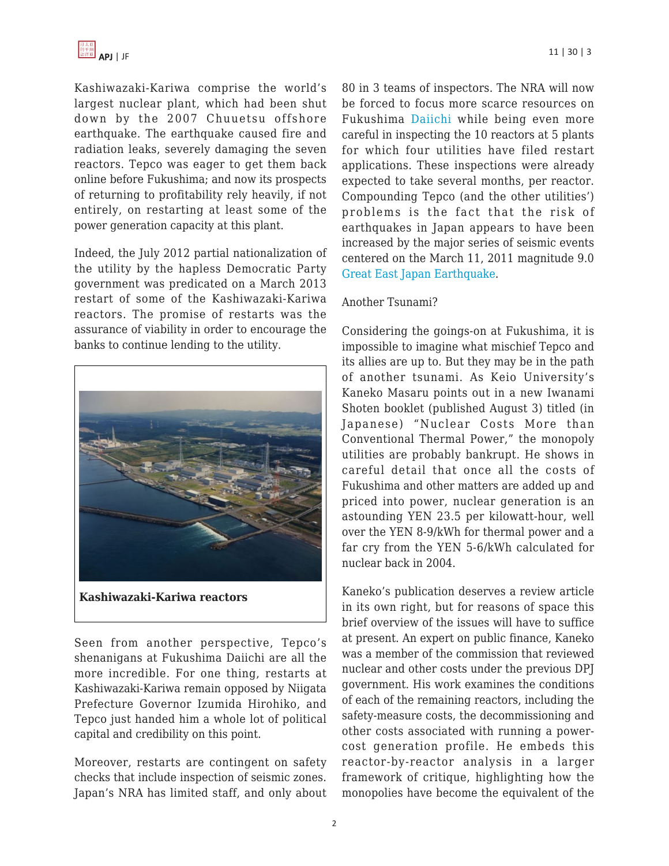Kashiwazaki-Kariwa comprise the world's largest nuclear plant, which had been shut down by the 2007 Chuuetsu offshore earthquake. The earthquake caused fire and radiation leaks, severely damaging the seven reactors. Tepco was eager to get them back online before Fukushima; and now its prospects of returning to profitability rely heavily, if not entirely, on restarting at least some of the power generation capacity at this plant.

Indeed, the July 2012 partial nationalization of the utility by the hapless Democratic Party government was predicated on a March 2013 restart of some of the Kashiwazaki-Kariwa reactors. The promise of restarts was the assurance of viability in order to encourage the banks to continue lending to the utility.



Seen from another perspective, Tepco's shenanigans at Fukushima Daiichi are all the more incredible. For one thing, restarts at Kashiwazaki-Kariwa remain opposed by Niigata Prefecture Governor Izumida Hirohiko, and Tepco just handed him a whole lot of political capital and credibility on this point.

Moreover, restarts are contingent on safety checks that include inspection of seismic zones. Japan's NRA has limited staff, and only about 80 in 3 teams of inspectors. The NRA will now be forced to focus more scarce resources on Fukushima [Daiichi](http://www.globalpost.com/dispatch/news/afp/130730/japan-nuclear-watchdog-beef-fukushima-monitoring) while being even more careful in inspecting the 10 reactors at 5 plants for which four utilities have filed restart applications. These inspections were already expected to take several months, per reactor. Compounding Tepco (and the other utilities') problems is the fact that the risk of earthquakes in Japan appears to have been increased by the major series of seismic events centered on the March 11, 2011 magnitude 9.0

## Another Tsunami?

[Great East Japan Earthquake](http://ajw.asahi.com/article/0311disaster/quake_tsunami/AJ201212220044).

Considering the goings-on at Fukushima, it is impossible to imagine what mischief Tepco and its allies are up to. But they may be in the path of another tsunami. As Keio University's Kaneko Masaru points out in a new Iwanami Shoten booklet (published August 3) titled (in Japanese) "Nuclear Costs More than Conventional Thermal Power," the monopoly utilities are probably bankrupt. He shows in careful detail that once all the costs of Fukushima and other matters are added up and priced into power, nuclear generation is an astounding YEN 23.5 per kilowatt-hour, well over the YEN 8-9/kWh for thermal power and a far cry from the YEN 5-6/kWh calculated for nuclear back in 2004.

Kaneko's publication deserves a review article in its own right, but for reasons of space this brief overview of the issues will have to suffice at present. An expert on public finance, Kaneko was a member of the commission that reviewed nuclear and other costs under the previous DPJ government. His work examines the conditions of each of the remaining reactors, including the safety-measure costs, the decommissioning and other costs associated with running a powercost generation profile. He embeds this reactor-by-reactor analysis in a larger framework of critique, highlighting how the monopolies have become the equivalent of the

2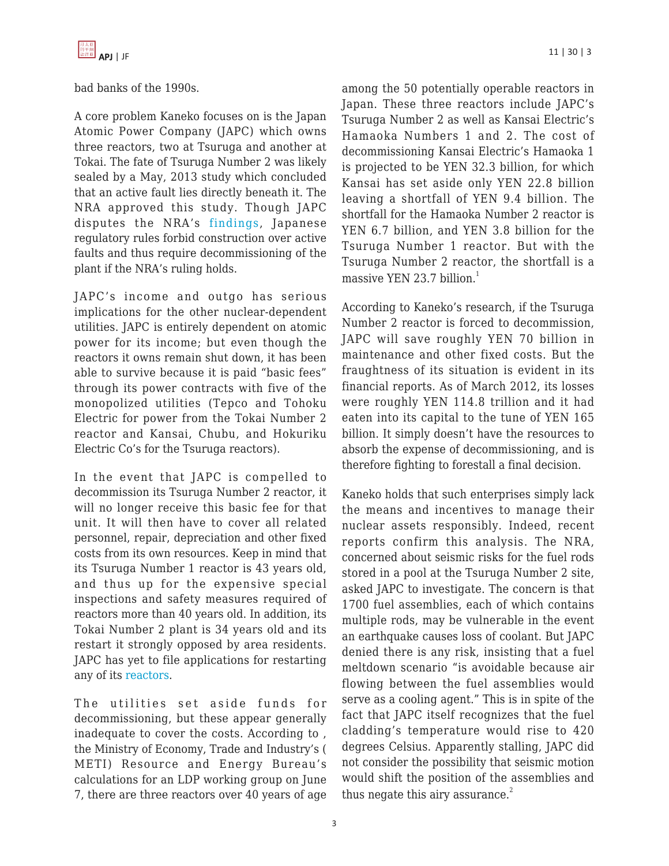![](_page_2_Picture_0.jpeg)

bad banks of the 1990s.

A core problem Kaneko focuses on is the Japan Atomic Power Company (JAPC) which owns three reactors, two at Tsuruga and another at Tokai. The fate of Tsuruga Number 2 was likely sealed by a May, 2013 study which concluded that an active fault lies directly beneath it. The NRA approved this study. Though JAPC disputes the NRA's [findings,](http://www.bloomberg.com/news/2013-08-01/japan-atomic-should-widen-tsuruga-quake-probe-review-team-says.html) Japanese regulatory rules forbid construction over active faults and thus require decommissioning of the plant if the NRA's ruling holds.

JAPC's income and outgo has serious implications for the other nuclear-dependent utilities. JAPC is entirely dependent on atomic power for its income; but even though the reactors it owns remain shut down, it has been able to survive because it is paid "basic fees" through its power contracts with five of the monopolized utilities (Tepco and Tohoku Electric for power from the Tokai Number 2 reactor and Kansai, Chubu, and Hokuriku Electric Co's for the Tsuruga reactors).

In the event that JAPC is compelled to decommission its Tsuruga Number 2 reactor, it will no longer receive this basic fee for that unit. It will then have to cover all related personnel, repair, depreciation and other fixed costs from its own resources. Keep in mind that its Tsuruga Number 1 reactor is 43 years old, and thus up for the expensive special inspections and safety measures required of reactors more than 40 years old. In addition, its Tokai Number 2 plant is 34 years old and its restart it strongly opposed by area residents. JAPC has yet to file applications for restarting any of its [reactors.](http://mainichi.jp/english/english/newsselect/news/20130712p2a00m0na006000c.html)

The utilities set aside funds for decommissioning, but these appear generally inadequate to cover the costs. According to , the Ministry of Economy, Trade and Industry's ( METI) Resource and Energy Bureau's calculations for an LDP working group on June 7, there are three reactors over 40 years of age among the 50 potentially operable reactors in Japan. These three reactors include JAPC's Tsuruga Number 2 as well as Kansai Electric's Hamaoka Numbers 1 and 2. The cost of decommissioning Kansai Electric's Hamaoka 1 is projected to be YEN 32.3 billion, for which Kansai has set aside only YEN 22.8 billion leaving a shortfall of YEN 9.4 billion. The shortfall for the Hamaoka Number 2 reactor is YEN 6.7 billion, and YEN 3.8 billion for the Tsuruga Number 1 reactor. But with the Tsuruga Number 2 reactor, the shortfall is a massive YEN 23.7 billion $<sup>1</sup>$ </sup>

According to Kaneko's research, if the Tsuruga Number 2 reactor is forced to decommission, JAPC will save roughly YEN 70 billion in maintenance and other fixed costs. But the fraughtness of its situation is evident in its financial reports. As of March 2012, its losses were roughly YEN 114.8 trillion and it had eaten into its capital to the tune of YEN 165 billion. It simply doesn't have the resources to absorb the expense of decommissioning, and is therefore fighting to forestall a final decision.

Kaneko holds that such enterprises simply lack the means and incentives to manage their nuclear assets responsibly. Indeed, recent reports confirm this analysis. The NRA, concerned about seismic risks for the fuel rods stored in a pool at the Tsuruga Number 2 site, asked JAPC to investigate. The concern is that 1700 fuel assemblies, each of which contains multiple rods, may be vulnerable in the event an earthquake causes loss of coolant. But JAPC denied there is any risk, insisting that a fuel meltdown scenario "is avoidable because air flowing between the fuel assemblies would serve as a cooling agent." This is in spite of the fact that JAPC itself recognizes that the fuel cladding's temperature would rise to 420 degrees Celsius. Apparently stalling, JAPC did not consider the possibility that seismic motion would shift the position of the assemblies and thus negate this airy assurance. $2$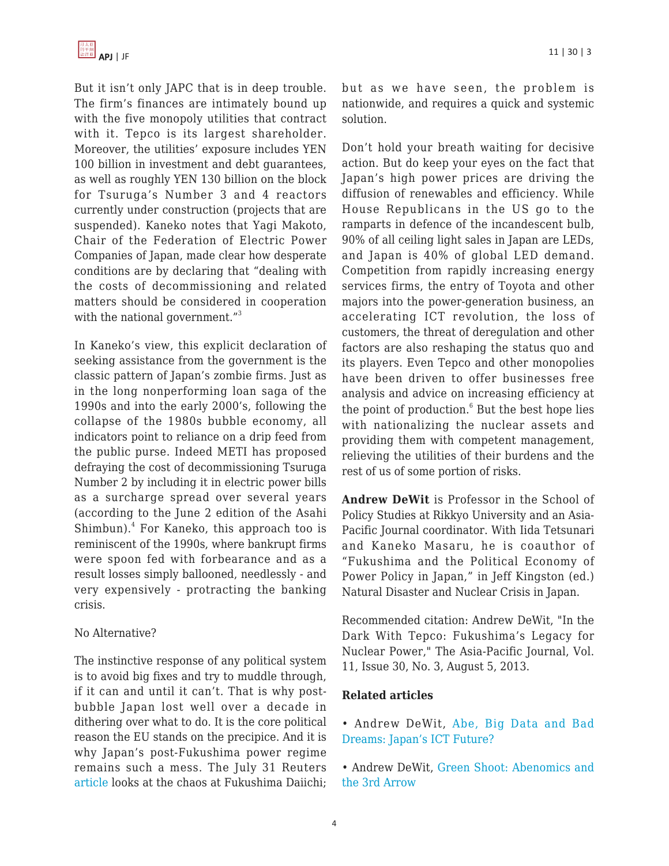But it isn't only JAPC that is in deep trouble. The firm's finances are intimately bound up with the five monopoly utilities that contract with it. Tepco is its largest shareholder. Moreover, the utilities' exposure includes YEN 100 billion in investment and debt guarantees, as well as roughly YEN 130 billion on the block for Tsuruga's Number 3 and 4 reactors currently under construction (projects that are suspended). Kaneko notes that Yagi Makoto, Chair of the Federation of Electric Power Companies of Japan, made clear how desperate conditions are by declaring that "dealing with the costs of decommissioning and related matters should be considered in cooperation with the national government."<sup>3</sup>

In Kaneko's view, this explicit declaration of seeking assistance from the government is the classic pattern of Japan's zombie firms. Just as in the long nonperforming loan saga of the 1990s and into the early 2000's, following the collapse of the 1980s bubble economy, all indicators point to reliance on a drip feed from the public purse. Indeed METI has proposed defraying the cost of decommissioning Tsuruga Number 2 by including it in electric power bills as a surcharge spread over several years (according to the June 2 edition of the Asahi Shimbun).<sup>4</sup> For Kaneko, this approach too is reminiscent of the 1990s, where bankrupt firms were spoon fed with forbearance and as a result losses simply ballooned, needlessly - and very expensively - protracting the banking crisis.

## No Alternative?

The instinctive response of any political system is to avoid big fixes and try to muddle through, if it can and until it can't. That is why postbubble Japan lost well over a decade in dithering over what to do. It is the core political reason the EU stands on the precipice. And it is why Japan's post-Fukushima power regime remains such a mess. The July 31 Reuters [article](http://www.reuters.com/article/2013/07/31/japan-fukushima-nuclear-idUSL4N0FZ31J20130731) looks at the chaos at Fukushima Daiichi; but as we have seen, the problem is nationwide, and requires a quick and systemic solution.

Don't hold your breath waiting for decisive action. But do keep your eyes on the fact that Japan's high power prices are driving the diffusion of renewables and efficiency. While House Republicans in the US go to the ramparts in defence of the incandescent bulb, 90% of all ceiling light sales in Japan are LEDs, and Japan is 40% of global LED demand. Competition from rapidly increasing energy services firms, the entry of Toyota and other majors into the power-generation business, an accelerating ICT revolution, the loss of customers, the threat of deregulation and other factors are also reshaping the status quo and its players. Even Tepco and other monopolies have been driven to offer businesses free analysis and advice on increasing efficiency at the point of production.<sup>6</sup> But the best hope lies with nationalizing the nuclear assets and providing them with competent management, relieving the utilities of their burdens and the rest of us of some portion of risks.

**Andrew DeWit** is Professor in the School of Policy Studies at Rikkyo University and an Asia-Pacific Journal coordinator. With Iida Tetsunari and Kaneko Masaru, he is coauthor of "Fukushima and the Political Economy of Power Policy in Japan," in Jeff Kingston (ed.) Natural Disaster and Nuclear Crisis in Japan.

Recommended citation: Andrew DeWit, "In the Dark With Tepco: Fukushima's Legacy for Nuclear Power," The Asia-Pacific Journal, Vol. 11, Issue 30, No. 3, August 5, 2013.

## **Related articles**

- Andrew DeWit, [Abe, Big Data and Bad](https://apjjf.org/-Andrew-DeWit/3972) [Dreams: Japan's ICT Future?](https://apjjf.org/-Andrew-DeWit/3972)
- Andrew DeWit, [Green Shoot: Abenomics and](https://apjjf.org/-Andrew-DeWit/3965) [the 3rd Arrow](https://apjjf.org/-Andrew-DeWit/3965)